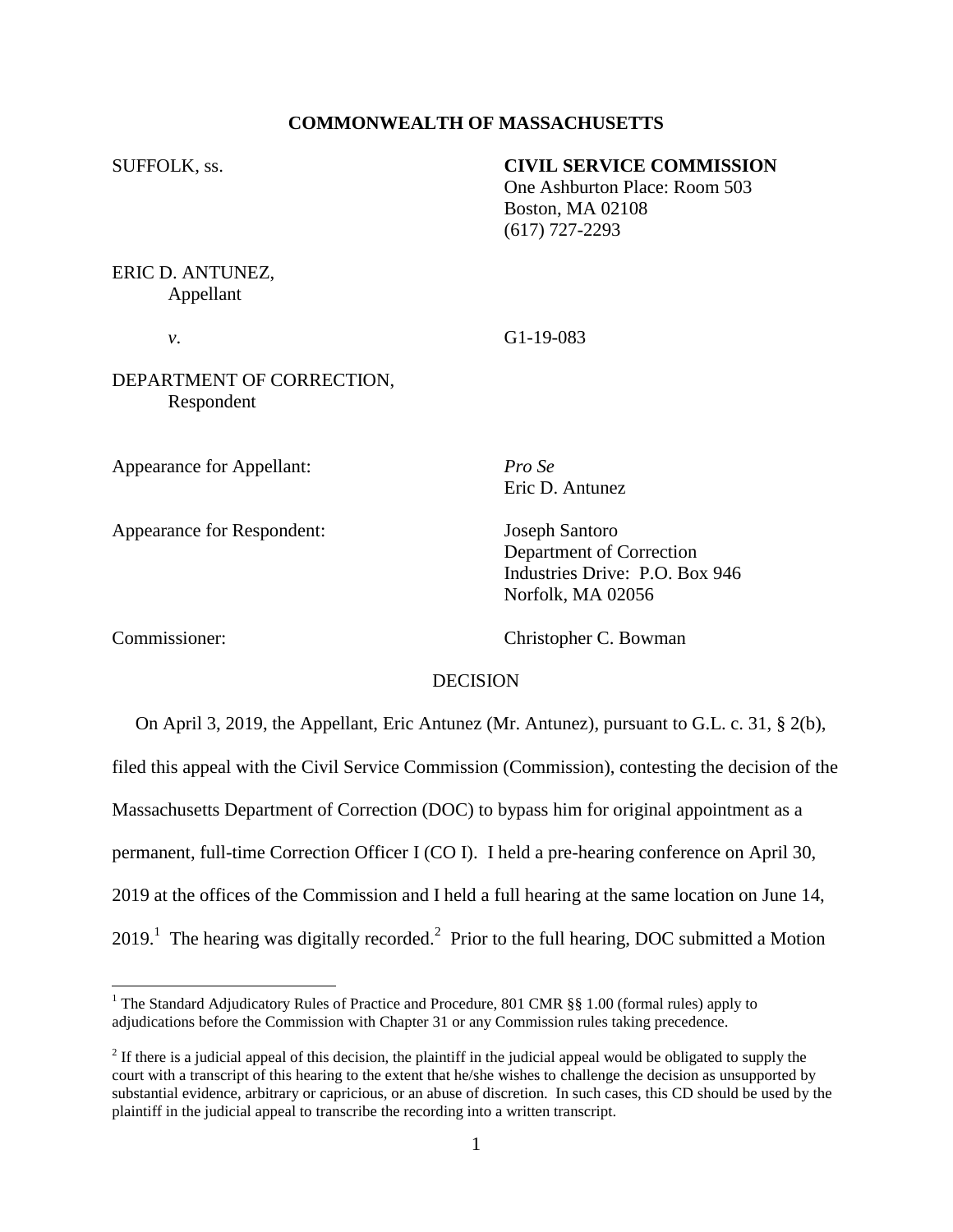## **COMMONWEALTH OF MASSACHUSETTS**

# SUFFOLK, ss. **CIVIL SERVICE COMMISSION**

One Ashburton Place: Room 503 Boston, MA 02108 (617) 727-2293

ERIC D. ANTUNEZ, Appellant

*v*. G1-19-083

DEPARTMENT OF CORRECTION, Respondent

Appearance for Appellant: *Pro Se*

Appearance for Respondent: Joseph Santoro

Eric D. Antunez

Department of Correction Industries Drive: P.O. Box 946 Norfolk, MA 02056

 $\overline{a}$ 

Commissioner: Christopher C. Bowman

### DECISION

 On April 3, 2019, the Appellant, Eric Antunez (Mr. Antunez), pursuant to G.L. c. 31, § 2(b), filed this appeal with the Civil Service Commission (Commission), contesting the decision of the Massachusetts Department of Correction (DOC) to bypass him for original appointment as a permanent, full-time Correction Officer I (CO I). I held a pre-hearing conference on April 30, 2019 at the offices of the Commission and I held a full hearing at the same location on June 14,  $2019<sup>1</sup>$  The hearing was digitally recorded.<sup>2</sup> Prior to the full hearing, DOC submitted a Motion

<sup>&</sup>lt;sup>1</sup> The Standard Adjudicatory Rules of Practice and Procedure, 801 CMR §§ 1.00 (formal rules) apply to adjudications before the Commission with Chapter 31 or any Commission rules taking precedence.

 $2<sup>2</sup>$  If there is a judicial appeal of this decision, the plaintiff in the judicial appeal would be obligated to supply the court with a transcript of this hearing to the extent that he/she wishes to challenge the decision as unsupported by substantial evidence, arbitrary or capricious, or an abuse of discretion. In such cases, this CD should be used by the plaintiff in the judicial appeal to transcribe the recording into a written transcript.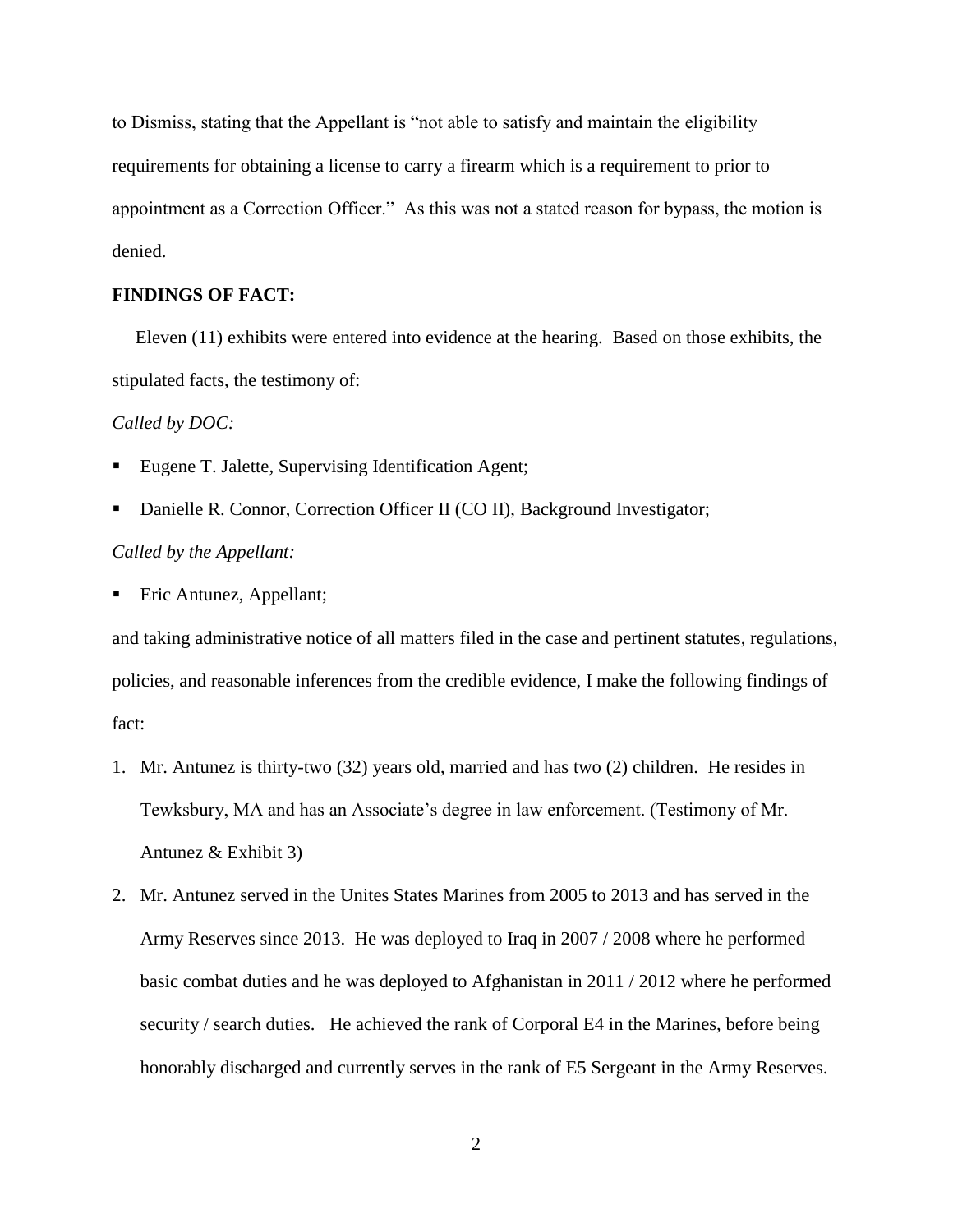to Dismiss, stating that the Appellant is "not able to satisfy and maintain the eligibility requirements for obtaining a license to carry a firearm which is a requirement to prior to appointment as a Correction Officer." As this was not a stated reason for bypass, the motion is denied.

# **FINDINGS OF FACT:**

Eleven (11) exhibits were entered into evidence at the hearing. Based on those exhibits, the stipulated facts, the testimony of:

#### *Called by DOC:*

- Eugene T. Jalette, Supervising Identification Agent;
- Danielle R. Connor, Correction Officer II (CO II), Background Investigator;

### *Called by the Appellant:*

■ Eric Antunez, Appellant;

and taking administrative notice of all matters filed in the case and pertinent statutes, regulations, policies, and reasonable inferences from the credible evidence, I make the following findings of fact:

- 1. Mr. Antunez is thirty-two (32) years old, married and has two (2) children. He resides in Tewksbury, MA and has an Associate's degree in law enforcement. (Testimony of Mr. Antunez & Exhibit 3)
- 2. Mr. Antunez served in the Unites States Marines from 2005 to 2013 and has served in the Army Reserves since 2013. He was deployed to Iraq in 2007 / 2008 where he performed basic combat duties and he was deployed to Afghanistan in 2011 / 2012 where he performed security / search duties. He achieved the rank of Corporal E4 in the Marines, before being honorably discharged and currently serves in the rank of E5 Sergeant in the Army Reserves.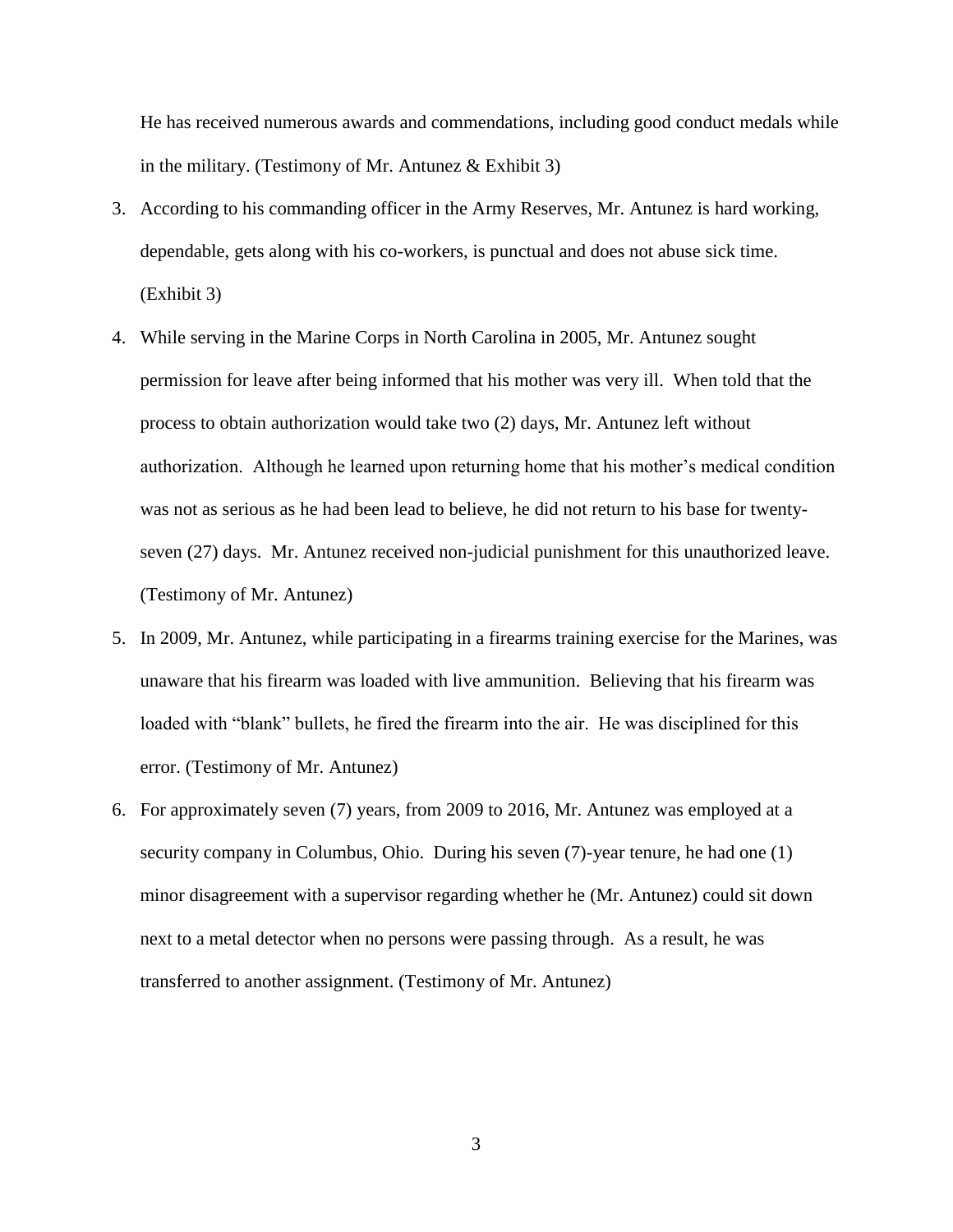He has received numerous awards and commendations, including good conduct medals while in the military. (Testimony of Mr. Antunez  $&$  Exhibit 3)

- 3. According to his commanding officer in the Army Reserves, Mr. Antunez is hard working, dependable, gets along with his co-workers, is punctual and does not abuse sick time. (Exhibit 3)
- 4. While serving in the Marine Corps in North Carolina in 2005, Mr. Antunez sought permission for leave after being informed that his mother was very ill. When told that the process to obtain authorization would take two (2) days, Mr. Antunez left without authorization. Although he learned upon returning home that his mother's medical condition was not as serious as he had been lead to believe, he did not return to his base for twentyseven (27) days. Mr. Antunez received non-judicial punishment for this unauthorized leave. (Testimony of Mr. Antunez)
- 5. In 2009, Mr. Antunez, while participating in a firearms training exercise for the Marines, was unaware that his firearm was loaded with live ammunition. Believing that his firearm was loaded with "blank" bullets, he fired the firearm into the air. He was disciplined for this error. (Testimony of Mr. Antunez)
- 6. For approximately seven (7) years, from 2009 to 2016, Mr. Antunez was employed at a security company in Columbus, Ohio. During his seven (7)-year tenure, he had one (1) minor disagreement with a supervisor regarding whether he (Mr. Antunez) could sit down next to a metal detector when no persons were passing through. As a result, he was transferred to another assignment. (Testimony of Mr. Antunez)

3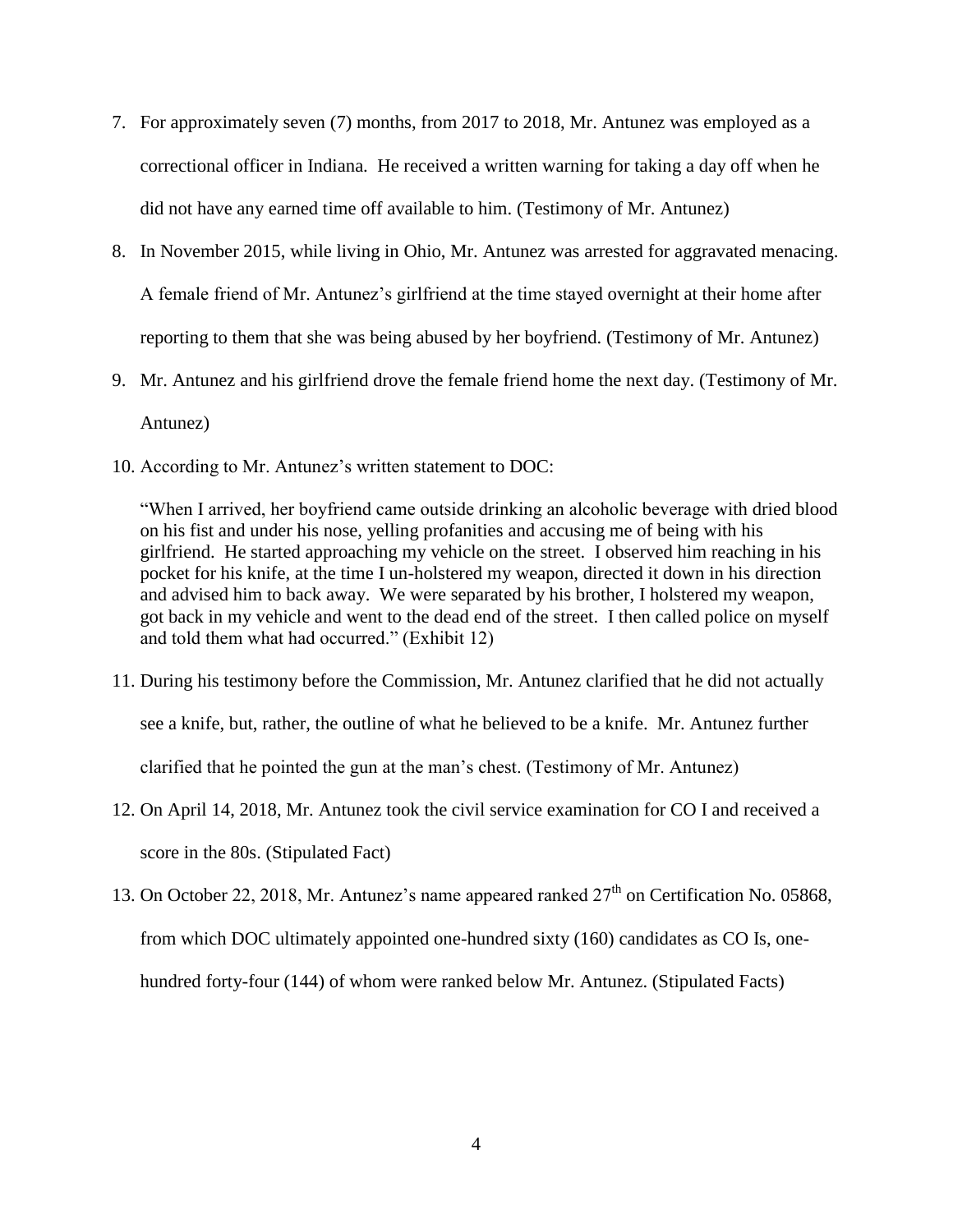- 7. For approximately seven (7) months, from 2017 to 2018, Mr. Antunez was employed as a correctional officer in Indiana. He received a written warning for taking a day off when he did not have any earned time off available to him. (Testimony of Mr. Antunez)
- 8. In November 2015, while living in Ohio, Mr. Antunez was arrested for aggravated menacing. A female friend of Mr. Antunez's girlfriend at the time stayed overnight at their home after reporting to them that she was being abused by her boyfriend. (Testimony of Mr. Antunez)
- 9. Mr. Antunez and his girlfriend drove the female friend home the next day. (Testimony of Mr. Antunez)
- 10. According to Mr. Antunez's written statement to DOC:

"When I arrived, her boyfriend came outside drinking an alcoholic beverage with dried blood on his fist and under his nose, yelling profanities and accusing me of being with his girlfriend. He started approaching my vehicle on the street. I observed him reaching in his pocket for his knife, at the time I un-holstered my weapon, directed it down in his direction and advised him to back away. We were separated by his brother, I holstered my weapon, got back in my vehicle and went to the dead end of the street. I then called police on myself and told them what had occurred." (Exhibit 12)

- 11. During his testimony before the Commission, Mr. Antunez clarified that he did not actually see a knife, but, rather, the outline of what he believed to be a knife. Mr. Antunez further clarified that he pointed the gun at the man's chest. (Testimony of Mr. Antunez)
- 12. On April 14, 2018, Mr. Antunez took the civil service examination for CO I and received a score in the 80s. (Stipulated Fact)
- 13. On October 22, 2018, Mr. Antunez's name appeared ranked  $27<sup>th</sup>$  on Certification No. 05868, from which DOC ultimately appointed one-hundred sixty (160) candidates as CO Is, onehundred forty-four (144) of whom were ranked below Mr. Antunez. (Stipulated Facts)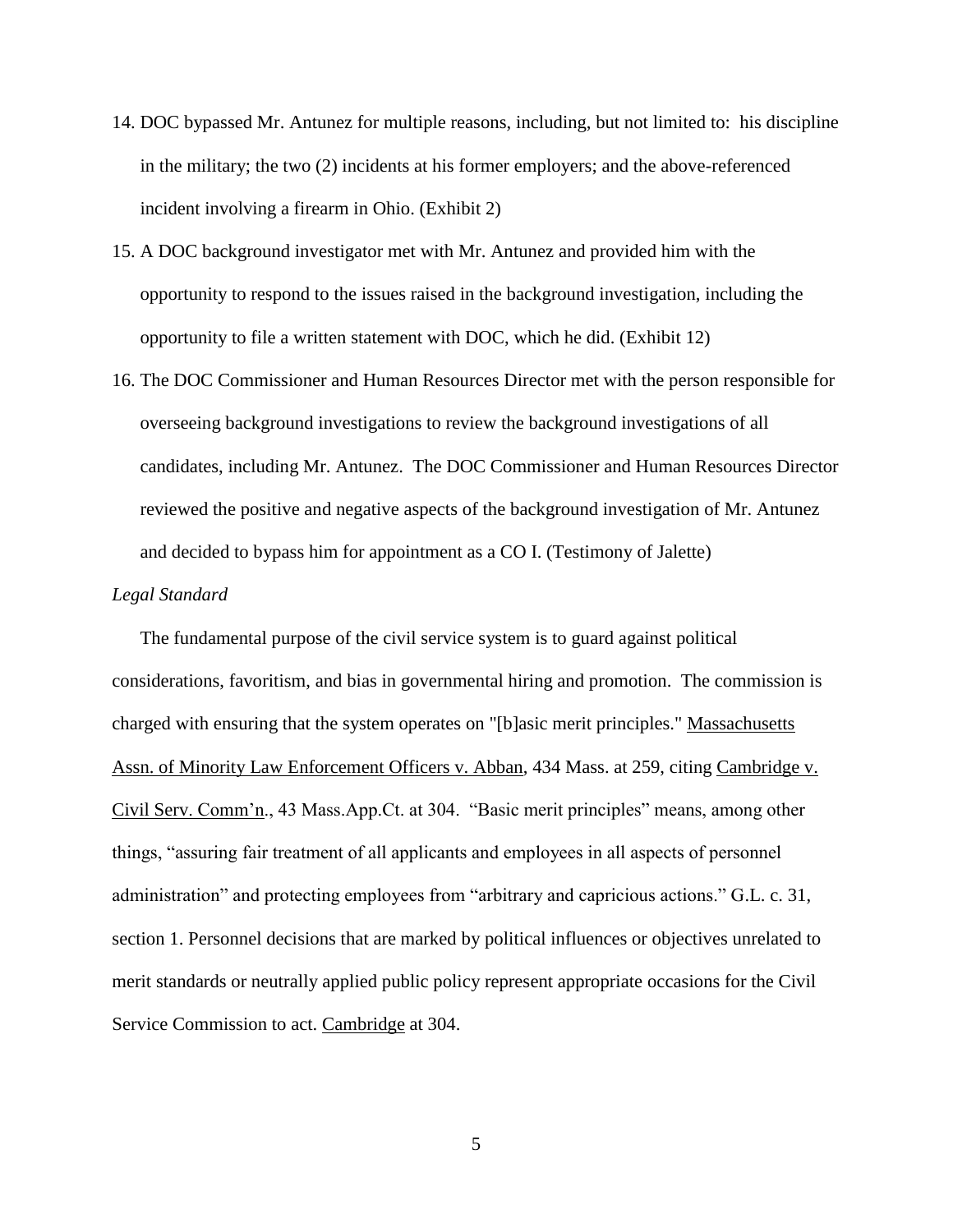- 14. DOC bypassed Mr. Antunez for multiple reasons, including, but not limited to: his discipline in the military; the two (2) incidents at his former employers; and the above-referenced incident involving a firearm in Ohio. (Exhibit 2)
- 15. A DOC background investigator met with Mr. Antunez and provided him with the opportunity to respond to the issues raised in the background investigation, including the opportunity to file a written statement with DOC, which he did. (Exhibit 12)
- 16. The DOC Commissioner and Human Resources Director met with the person responsible for overseeing background investigations to review the background investigations of all candidates, including Mr. Antunez. The DOC Commissioner and Human Resources Director reviewed the positive and negative aspects of the background investigation of Mr. Antunez and decided to bypass him for appointment as a CO I. (Testimony of Jalette)

#### *Legal Standard*

 The fundamental purpose of the civil service system is to guard against political considerations, favoritism, and bias in governmental hiring and promotion. The commission is charged with ensuring that the system operates on "[b]asic merit principles." Massachusetts Assn. of Minority Law Enforcement Officers v. Abban, 434 Mass. at 259, citing Cambridge v. Civil Serv. Comm'n., 43 Mass.App.Ct. at 304. "Basic merit principles" means, among other things, "assuring fair treatment of all applicants and employees in all aspects of personnel administration" and protecting employees from "arbitrary and capricious actions." G.L. c. 31, section 1. Personnel decisions that are marked by political influences or objectives unrelated to merit standards or neutrally applied public policy represent appropriate occasions for the Civil Service Commission to act. Cambridge at 304.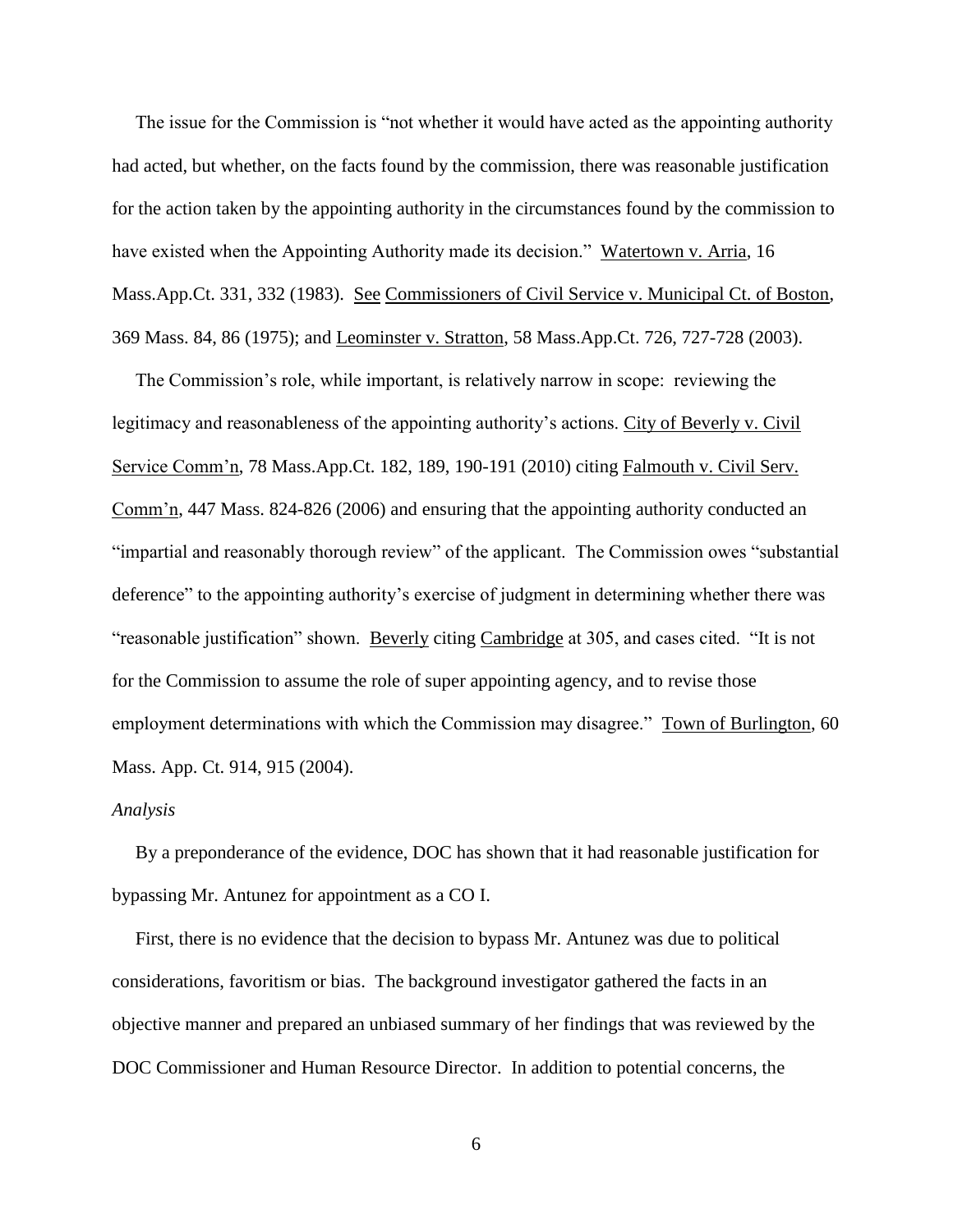The issue for the Commission is "not whether it would have acted as the appointing authority had acted, but whether, on the facts found by the commission, there was reasonable justification for the action taken by the appointing authority in the circumstances found by the commission to have existed when the Appointing Authority made its decision." Watertown v. Arria, 16 Mass.App.Ct. 331, 332 (1983). See Commissioners of Civil Service v. Municipal Ct. of Boston, 369 Mass. 84, 86 (1975); and Leominster v. Stratton, 58 Mass.App.Ct. 726, 727-728 (2003).

 The Commission's role, while important, is relatively narrow in scope: reviewing the legitimacy and reasonableness of the appointing authority's actions. City of Beverly v. Civil Service Comm'n, 78 Mass.App.Ct. 182, 189, 190-191 (2010) citing Falmouth v. Civil Serv. Comm'n, 447 Mass. 824-826 (2006) and ensuring that the appointing authority conducted an "impartial and reasonably thorough review" of the applicant. The Commission owes "substantial deference" to the appointing authority's exercise of judgment in determining whether there was "reasonable justification" shown. Beverly citing Cambridge at 305, and cases cited. "It is not for the Commission to assume the role of super appointing agency, and to revise those employment determinations with which the Commission may disagree." Town of Burlington, 60 Mass. App. Ct. 914, 915 (2004).

#### *Analysis*

 By a preponderance of the evidence, DOC has shown that it had reasonable justification for bypassing Mr. Antunez for appointment as a CO I.

 First, there is no evidence that the decision to bypass Mr. Antunez was due to political considerations, favoritism or bias. The background investigator gathered the facts in an objective manner and prepared an unbiased summary of her findings that was reviewed by the DOC Commissioner and Human Resource Director. In addition to potential concerns, the

6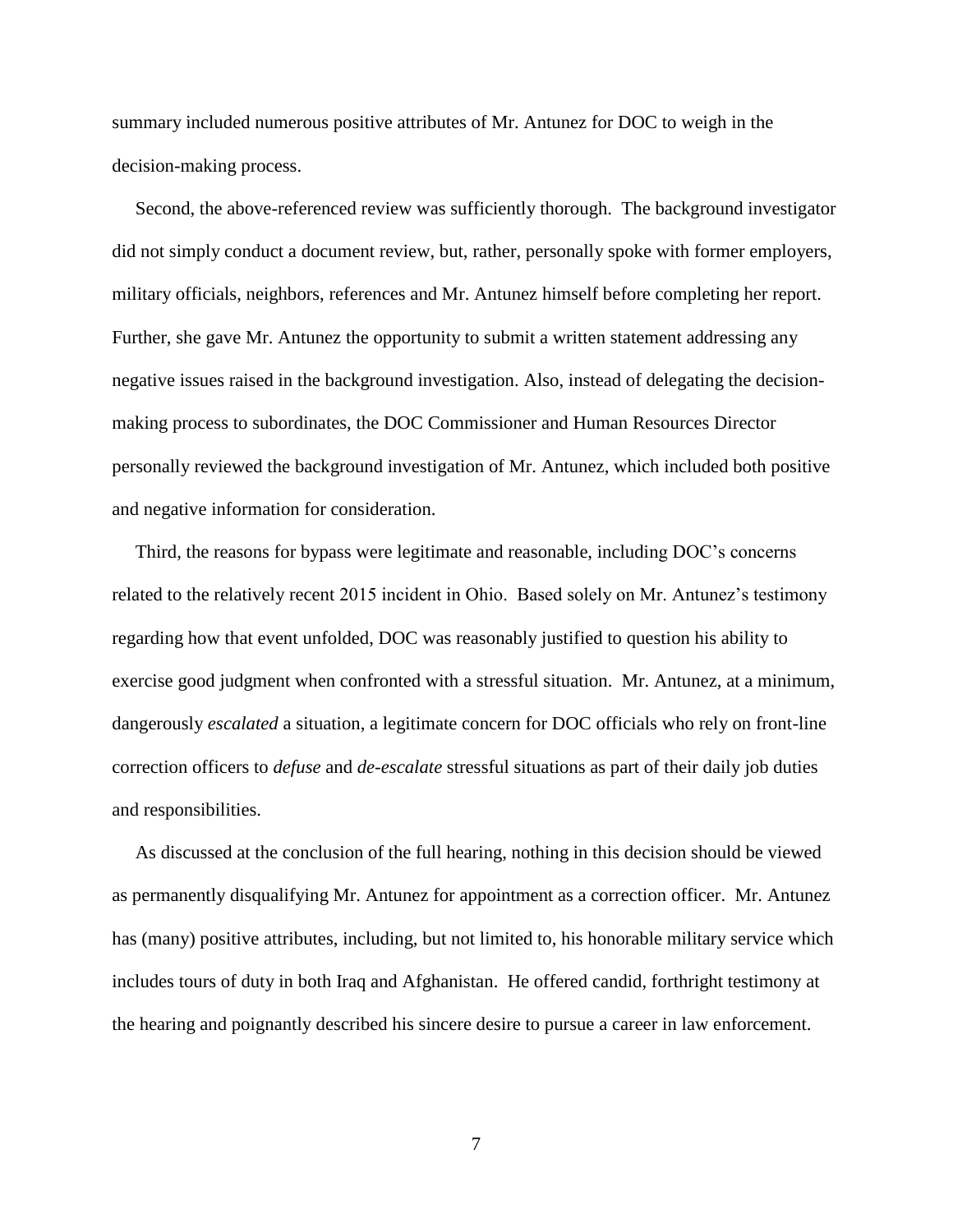summary included numerous positive attributes of Mr. Antunez for DOC to weigh in the decision-making process.

 Second, the above-referenced review was sufficiently thorough. The background investigator did not simply conduct a document review, but, rather, personally spoke with former employers, military officials, neighbors, references and Mr. Antunez himself before completing her report. Further, she gave Mr. Antunez the opportunity to submit a written statement addressing any negative issues raised in the background investigation. Also, instead of delegating the decisionmaking process to subordinates, the DOC Commissioner and Human Resources Director personally reviewed the background investigation of Mr. Antunez, which included both positive and negative information for consideration.

 Third, the reasons for bypass were legitimate and reasonable, including DOC's concerns related to the relatively recent 2015 incident in Ohio. Based solely on Mr. Antunez's testimony regarding how that event unfolded, DOC was reasonably justified to question his ability to exercise good judgment when confronted with a stressful situation. Mr. Antunez, at a minimum, dangerously *escalated* a situation, a legitimate concern for DOC officials who rely on front-line correction officers to *defuse* and *de-escalate* stressful situations as part of their daily job duties and responsibilities.

 As discussed at the conclusion of the full hearing, nothing in this decision should be viewed as permanently disqualifying Mr. Antunez for appointment as a correction officer. Mr. Antunez has (many) positive attributes, including, but not limited to, his honorable military service which includes tours of duty in both Iraq and Afghanistan. He offered candid, forthright testimony at the hearing and poignantly described his sincere desire to pursue a career in law enforcement.

7